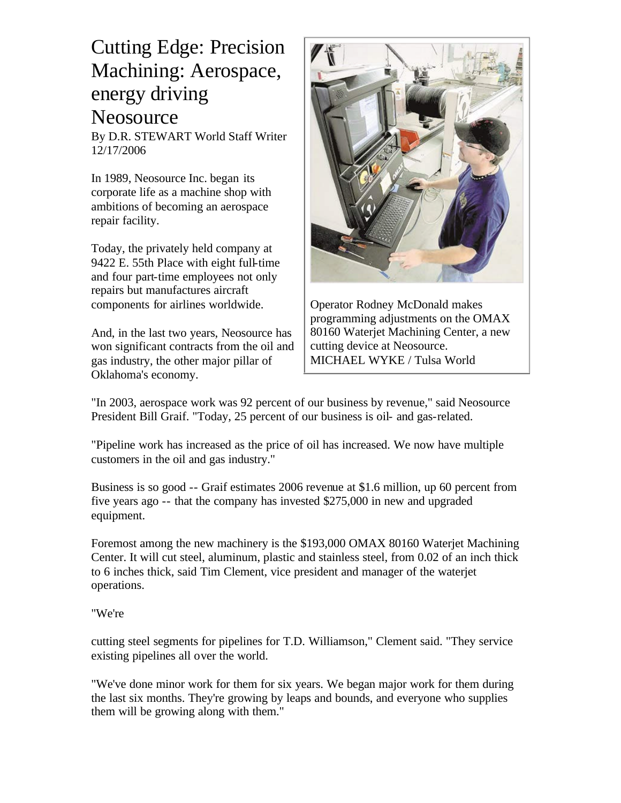## Cutting Edge: Precision Machining: Aerospace, energy driving Neosource

By D.R. STEWART World Staff Writer 12/17/2006

In 1989, Neosource Inc. began its corporate life as a machine shop with ambitions of becoming an aerospace repair facility.

Today, the privately held company at 9422 E. 55th Place with eight full-time and four part-time employees not only repairs but manufactures aircraft components for airlines worldwide.

And, in the last two years, Neosource has won significant contracts from the oil and gas industry, the other major pillar of Oklahoma's economy.



Operator Rodney McDonald makes programming adjustments on the OMAX 80160 Waterjet Machining Center, a new cutting device at Neosource. MICHAEL WYKE / Tulsa World

"In 2003, aerospace work was 92 percent of our business by revenue," said Neosource President Bill Graif. "Today, 25 percent of our business is oil- and gas-related.

"Pipeline work has increased as the price of oil has increased. We now have multiple customers in the oil and gas industry."

Business is so good -- Graif estimates 2006 revenue at \$1.6 million, up 60 percent from five years ago -- that the company has invested \$275,000 in new and upgraded equipment.

Foremost among the new machinery is the \$193,000 OMAX 80160 Waterjet Machining Center. It will cut steel, aluminum, plastic and stainless steel, from 0.02 of an inch thick to 6 inches thick, said Tim Clement, vice president and manager of the waterjet operations.

## "We're

cutting steel segments for pipelines for T.D. Williamson," Clement said. "They service existing pipelines all over the world.

"We've done minor work for them for six years. We began major work for them during the last six months. They're growing by leaps and bounds, and everyone who supplies them will be growing along with them."